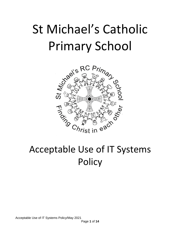# St Michael's Catholic

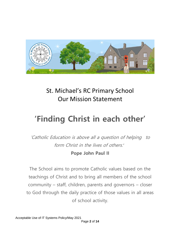

### St. Michael's RC Primary School Our Mission Statement

## **'Finding Christ in each other'**

'Catholic Education is above all a question of helping to form Christ in the lives of others'

#### **Pope John Paul II**

The School aims to promote Catholic values based on the teachings of Christ and to bring all members of the school community – staff, children, parents and governors – closer to God through the daily practice of those values in all areas of school activity.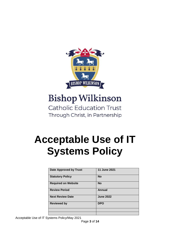

## **Bishop Wilkinson**

**Catholic Education Trust** Through Christ, in Partnership

## **Acceptable Use of IT Systems Policy**

| <b>Date Approved by Trust</b> | 11 June 2021     |
|-------------------------------|------------------|
| <b>Statutory Policy</b>       | <b>No</b>        |
| <b>Required on Website</b>    | <b>No</b>        |
| <b>Review Period</b>          | Annual           |
| <b>Next Review Date</b>       | <b>June 2022</b> |
| <b>Reviewed by</b>            | <b>DPO</b>       |
|                               |                  |
|                               |                  |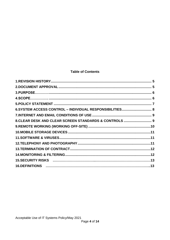#### **Table of Contents**

| 6.SYSTEM ACCESS CONTROL - INDIVIDUAL RESPONSIBILITIES 8 |  |
|---------------------------------------------------------|--|
|                                                         |  |
| 8. CLEAR DESK AND CLEAR SCREEN STANDARDS & CONTROLS  9  |  |
|                                                         |  |
|                                                         |  |
|                                                         |  |
|                                                         |  |
|                                                         |  |
|                                                         |  |
|                                                         |  |
|                                                         |  |
|                                                         |  |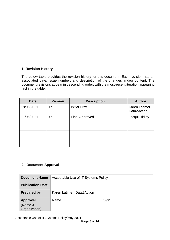#### <span id="page-4-0"></span>**1. Revision History**

The below table provides the revision history for this document. Each revision has an associated date, issue number, and description of the changes and/or content. The document revisions appear in descending order, with the most-recent iteration appearing first in the table.

| <b>Date</b> | <b>Version</b> | <b>Description</b>    | <b>Author</b>                       |
|-------------|----------------|-----------------------|-------------------------------------|
| 18/05/2021  | 0.a            | <b>Initial Draft</b>  | <b>Karen Latimer</b><br>Data2Action |
| 11/06/2021  | 0.b            | <b>Final Approved</b> | Jacqui Ridley                       |
|             |                |                       |                                     |
|             |                |                       |                                     |
|             |                |                       |                                     |

#### <span id="page-4-1"></span>**2. Document Approval**

| <b>Document Name</b>                        | Acceptable Use of IT Systems Policy |      |  |
|---------------------------------------------|-------------------------------------|------|--|
| <b>Publication Date</b>                     |                                     |      |  |
| <b>Prepared by</b>                          | Karen Latimer, Data2Action          |      |  |
| <b>Approval</b><br>(Name &<br>Organization) | Name                                | Sign |  |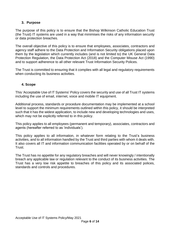#### <span id="page-5-0"></span>**3. Purpose**

The purpose of this policy is to ensure that the Bishop Wilkinson Catholic Education Trust (the Trust) IT systems are used in a way that minimises the risks of any information security or data protection breaches.

The overall objective of this policy is to ensure that employees, associates, contractors and agency staff adhere to the Data Protection and Information Security obligations placed upon them by the legislation which currently includes (and is not limited to) the UK General Data Protection Regulation, the Data Protection Act (2018) and the Computer Misuse Act (1990) and to support adherence to all other relevant Trust Information Security Polices.

<span id="page-5-1"></span>The Trust is committed to ensuring that it complies with all legal and regulatory requirements when conducting its business activities.

#### **4. Scope**

This 'Acceptable Use of IT Systems' Policy covers the security and use of all Trust IT systems including the use of email, internet, voice and mobile IT equipment.

Additional process, standards or procedure documentation may be implemented at a school level to support the minimum requirements outlined within this policy, it should be interpreted such that it has the widest application, to include new and developing technologies and uses, which may not be explicitly referred to in this policy.

This policy applies to all employees (permanent and temporary), associates, contractors and agents (hereafter referred to as 'individuals').

This policy applies to all information, in whatever form relating to the Trust's business activities, and to all information handled by the Trust and third parties with whom it deals with. It also covers all IT and information communication facilities operated by or on behalf of the **Trust.** 

The Trust has no appetite for any regulatory breaches and will never knowingly / intentionally breach any applicable law or regulation relevant to the conduct of its business activities. The Trust has a very low risk appetite to breaches of this policy and its associated polices, standards and controls and procedures.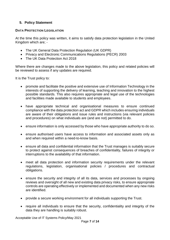#### <span id="page-6-0"></span>**5. Policy Statement**

#### **DATA PROTECTION LEGISLATION**

At the time this policy was written, it aims to satisfy data protection legislation in the United Kingdom which are; -

- The UK General Data Protection Regulation (UK GDPR)
- Privacy and Electronic Communications Regulations (PECR) 2003
- The UK Data Protection Act 2018

Where there are changes made to the above legislation, this policy and related policies will be reviewed to assess if any updates are required.

It is the Trust policy to:

- promote and facilitate the positive and extensive use of Information Technology in the interests of supporting the delivery of learning, teaching and innovation to the highest possible standards. This also requires appropriate and legal use of the technologies and facilities made available to students and employees.
- have appropriate technical and organisational measures to ensure continued compliance with the data protection act and GDPR which includes ensuring individuals are aware of their obligations and issue rules and instructions (via relevant policies and procedures) on what individuals are (and are not) permitted to do.
- ensure information is only accessed by those who have appropriate authority to do so.
- ensure authorised users have access to information and associated assets only as and when required within a need-to-know basis.
- ensure all data and confidential information that the Trust manages is suitably secure to protect against consequences of breaches of confidentiality, failures of integrity or interruptions to the availability of that information.
- meet all data protection and information security requirements under the relevant regulations, legislation, organisational policies / procedures and contractual obligations.
- ensure the security and integrity of all its data, services and processes by ongoing reviews and oversight of all new and existing data privacy risks, to ensure appropriate controls are operating effectively or implemented and documented when any new risks are identified.
- provide a secure working environment for all individuals supporting the Trust.
- require all individuals to ensure that the security, confidentiality and integrity of the data they are handling is suitably robust.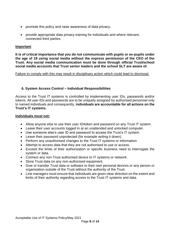- promote this policy and raise awareness of data privacy.
- provide appropriate data privacy training for individuals and where relevant, connected third parties.

#### **Important**

**It is of critical importance that you do not communicate with pupils or ex-pupils under the age of 18 using social media without the express permission of the CEO of the Trust. Any social media communication must be done through official Trust/school social media accounts that Trust senior leaders and the school SLT are aware of.**

#### <span id="page-7-0"></span>Failure to comply with this may result in disciplinary action which could lead to dismissal.

#### **6. System Access Control – Individual Responsibilities**

Access to the Trust IT systems is controlled by implementing user IDs, passwords and/or tokens. All user IDs and passwords are to be uniquely assigned by authorised personnel only to named individuals and consequently, **individuals are accountable for all actions on the Trust's IT systems.**

#### **Individuals must not:**

- Allow anyone else to use their user ID/token and password on any Trust IT system.
- Leave their user accounts logged in at an unattended and unlocked computer.
- Use someone else's user ID and password to access the Trust's IT system.
- Leave their password unprotected (for example writing it down).
- Perform any unauthorised changes to the Trust IT systems or information.
- Attempt to access data that they are not authorised to use or access.
- Exceed the limits of their authorisation or specific business need to interrogate the system or data.
- Connect any non-Trust authorised device to IT systems or network.
- Store Trust data on any non-authorised equipment.
- Give or transfer Trust data or software to their own personal devices or any person or organisation outside of the Trust without the authority of the Trust.
- Line managers must ensure that individuals are given clear direction on the extent and limits of their authority regarding access to the Trust IT systems and data.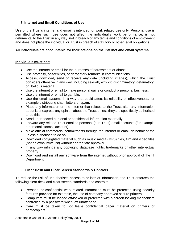#### <span id="page-8-0"></span>**7. Internet and Email Conditions of Use**

Use of the Trust's internet and email is intended for work related use only. Personal use is permitted where such use does not affect the individual's work performance, is not detrimental to the Trust in any way, not in breach of any terms and conditions of employment and does not place the individual or Trust in breach of statutory or other legal obligations.

#### **All individuals are accountable for their actions on the internet and email systems.**

#### **Individuals must not:**

- Use the internet or email for the purposes of harassment or abuse.
- Use profanity, obscenities, or derogatory remarks in communications.
- Access, download, send or receive any data (including images), which the Trust considers offensive in any way, including sexually explicit, discriminatory, defamatory, or libellous material.
- Use the internet or email to make personal gains or conduct a personal business.
- Use the internet or email to gamble.
- Use the email systems in a way that could affect its reliability or effectiveness, for example distributing chain letters or spam.
- Place any information on the Internet that relates to the Trust, alter any information about it, or express any opinion about the Trust, unless they are specifically authorised to do this.
- Send unprotected personal or confidential information externally.
- Forward any related Trust email to personal (non-Trust) email accounts (for example a personal Hotmail account)
- Make official commercial commitments through the internet or email on behalf of the unless authorised to do so.
- Download copyrighted material such as music media (MP3) files, film and video files (not an exhaustive list) without appropriate approval.
- In any way infringe any copyright, database rights, trademarks or other intellectual property.
- Download and install any software from the internet without prior approval of the IT Department.

#### <span id="page-8-1"></span>**8. Clear Desk and Clear Screen Standards & Controls**

To reduce the risk of unauthorised access to or loss of information, the Trust enforces the following clear desk and clear screen standards and controls:

- Personal or confidential work-related information must be protected using security features provided for example, the use of company approved secure printers.
- Computers must be logged off/locked or protected with a screen locking mechanism controlled by a password when left unattended.
- Care must be taken to not leave confidential paper material on printers or photocopiers.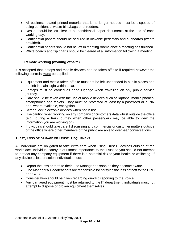- All business-related printed material that is no longer needed must be disposed of using confidential waste bins/bags or shredders.
- Desks should be left clear of all confidential paper documents at the end of each working day.
- Confidential papers should be secured in lockable pedestals and cupboards (where provided).
- Confidential papers should not be left in meeting rooms once a meeting has finished.
- <span id="page-9-0"></span>• White boards and flip charts should be cleared of all information following a meeting.

#### **9. Remote working (working off-site)**

It is accepted that laptops and mobile devices can be taken off-site if required however the following controls **must** be applied:

- Equipment and media taken off-site must not be left unattended in public places and not left in plain sight within a car.
- Laptops must be carried as hand luggage when travelling on any public service journey.
- Care should be taken with the use of mobile devices such as laptops, mobile phones, smartphones and tablets. They must be protected at least by a password or a PIN and, where available, encryption.
- Screen lock electronic devices when not in use.
- Use caution when working on any company or customers data whilst outside the office (e.g., during a train journey when other passengers may be able to view the information you are working on).
- Individuals should take care if discussing any commercial or customer matters outside of the office where other members of the public are able to overhear conversations.

#### **THEFT, LOSS OR DAMAGE OF TRUST IT EQUIPMENT**

All individuals are obligated to take extra care when using Trust IT devices outside of the workplace. Individual safety is of utmost importance to the Trust so you should not attempt to protect any company equipment if there is a potential risk to your health or wellbeing. If any device is lost or stolen individuals must:

- Report the loss or theft to their Line Manager as soon as they become aware.
- Line Managers/ Headteachers are responsible for notifying the loss or theft to the DPO and COO.
- Consideration should be given regarding onward reporting to the Police.
- Any damaged equipment must be returned to the IT department, individuals must not attempt to dispose of broken equipment themselves.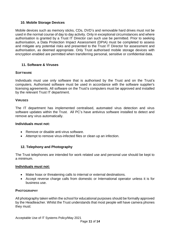#### <span id="page-10-0"></span>**10. Mobile Storage Devices**

Mobile devices such as memory sticks, CDs, DVD's and removable hard drives must not be used in the normal course of day to day activity. Only in exceptional circumstances and where authorisation is granted by a Trust IT Director can such use be permitted. Prior to seeking authorisation, a Data Protection Impact Assessment (DPIA) must be completed to assess and mitigate any potential risks and presented to the Trust IT Director for assessment and authorisation, as deemed appropriate. Only Trust authorised mobile storage devices with encryption enabled are permitted when transferring personal, sensitive or confidential data.

#### <span id="page-10-1"></span>**11. Software & Viruses**

#### **SOFTWARE**

Individuals must use only software that is authorised by the Trust and on the Trust's computers. Authorised software must be used in accordance with the software supplier's licensing agreements. All software on the Trust's computers must be approved and installed by the relevant Trust IT department.

#### **VIRUSES**

The IT department has implemented centralised, automated virus detection and virus software updates within the Trust. All PC's have antivirus software installed to detect and remove any virus automatically.

#### **Individuals must not:**

- Remove or disable anti-virus software.
- <span id="page-10-2"></span>• Attempt to remove virus-infected files or clean up an infection.

#### **12. Telephony and Photography**

The Trust telephones are intended for work related use and personal use should be kept to a minimum.

#### **Individuals must not:**

- Make hoax or threatening calls to internal or external destinations.
- Accept reverse charge calls from domestic or International operator unless it is for business use.

#### **PHOTOGRAPHY**

All photography taken within the school for educational purposes should be formally approved by the Headteacher. Whilst the Trust understands that most people will have camera phones they must: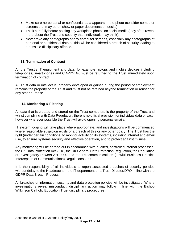- Make sure no personal or confidential data appears in the photo (consider computer screens that may be on show or paper documents on desks).
- Think carefully before posting any workplace photos on social media (they often reveal more about the Trust and security than individuals may think).
- Never take any photographs of any computer screens, especially any photographs of personal or confidential data as this will be considered a breach of security leading to a possible disciplinary offence.

#### <span id="page-11-0"></span>**13. Termination of Contract**

All the Trust's IT equipment and data, for example laptops and mobile devices including telephones, smartphones and CDs/DVDs, must be returned to the Trust immediately upon termination of contract.

All Trust data or intellectual property developed or gained during the period of employment remains the property of the Trust and must not be retained beyond termination or reused for any other purpose.

#### <span id="page-11-1"></span>**14. Monitoring & Filtering**

All data that is created and stored on the Trust computers is the property of the Trust and whilst complying with Data Regulation, there is no official provision for individual data privacy, however wherever possible the Trust will avoid opening personal emails.

IT system logging will take place where appropriate, and investigations will be commenced where reasonable suspicion exists of a breach of this or any other policy. The Trust has the right (under certain conditions) to monitor activity on its systems, including internet and email use, to ensure systems security and effective operation, and to protect against misuse.

Any monitoring will be carried out in accordance with audited, controlled internal processes, the UK Data Protection Act 2018, the UK General Data Protection Regulation, the Regulation of Investigatory Powers Act 2000 and the Telecommunications (Lawful Business Practice Interception of Communications) Regulations 2000.

It is the responsibility of all individuals to report suspected breaches of security policies without delay to the Headteacher, the IT department or a Trust Director/DPO in line with the GDPR Data Breach Process.

All breaches of information security and data protection policies will be investigated. Where investigations reveal misconduct, disciplinary action may follow in line with the Bishop Wilkinson Catholic Education Trust disciplinary procedures.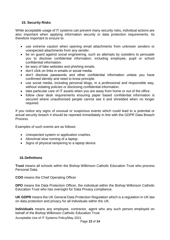#### <span id="page-12-0"></span>**15. Security Risks**

While acceptable usage of IT systems can prevent many security risks, individual actions are also important when applying information security or data protection requirements. Its therefore important to ensure to:

- use extreme caution when opening email attachments from unknown senders or unexpected attachments from any sender.
- be on guard against social engineering, such as attempts by outsiders to persuade you to disclose confidential information, including employee, pupil or school confidential information.
- be wary of fake websites and phishing emails.
- don't click on links in emails or social media.
- don't disclose passwords and other confidential information unless you have confirmed identity and need to know principle.
- use social media, including personal blogs, in a professional and responsible way, without violating policies or disclosing confidential information.
- take particular care of IT assets when you are away from home or out of the office.
- follow clear desk requirements ensuring paper based confidential information is secured where unauthorised people cannot see it and shredded when no longer required.

If you notice any signs of unusual or suspicious events which could lead to a potential or actual security breach it should be reported immediately in line with the GDPR Data Breach Process.

Examples of such events are as follows:

- Unexpected system or application crashes.
- Abnormal slow running of a laptop.
- Signs of physical tampering to a laptop device.

#### <span id="page-12-1"></span>**16.Definitions**

**Trust** means all schools within the Bishop Wilkinson Catholic Education Trust who process Personal Data.

**COO** means the Chief Operating Officer

**DPO** means the Data Protection Officer, the individual within the Bishop Wilkinson Catholic Education Trust who has oversight for Data Privacy compliance.

**UK GDPR** means the UK General Data Protection Regulation which is a regulation in UK law on data protection and privacy for all individuals within the UK.

**Individuals** means any employee, contractor, agent who any such person employed on behalf of the Bishop Wilkinson Catholic Education Trust